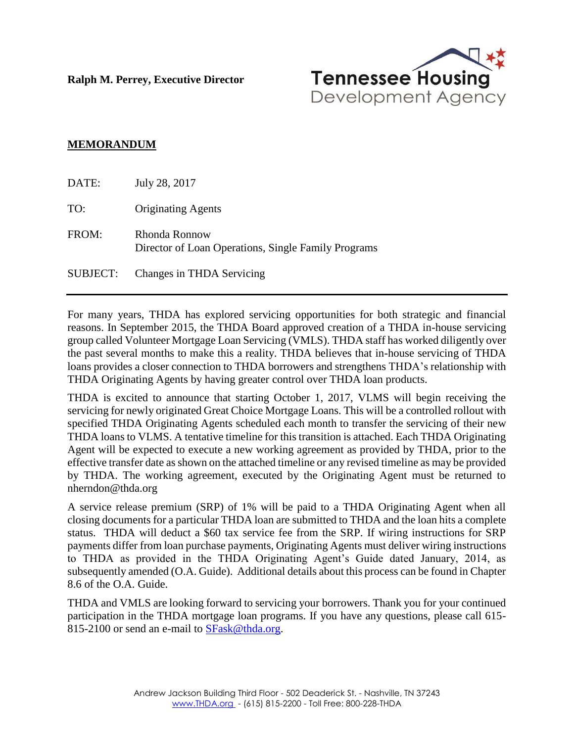**Ralph M. Perrey, Executive Director**



#### **MEMORANDUM**

| DATE:           | July 28, 2017                                                        |
|-----------------|----------------------------------------------------------------------|
| TO:             | <b>Originating Agents</b>                                            |
| FROM:           | Rhonda Ronnow<br>Director of Loan Operations, Single Family Programs |
| <b>SUBJECT:</b> | Changes in THDA Servicing                                            |

For many years, THDA has explored servicing opportunities for both strategic and financial reasons. In September 2015, the THDA Board approved creation of a THDA in-house servicing group called Volunteer Mortgage Loan Servicing (VMLS). THDA staff has worked diligently over the past several months to make this a reality. THDA believes that in-house servicing of THDA loans provides a closer connection to THDA borrowers and strengthens THDA's relationship with THDA Originating Agents by having greater control over THDA loan products.

THDA is excited to announce that starting October 1, 2017, VLMS will begin receiving the servicing for newly originated Great Choice Mortgage Loans. This will be a controlled rollout with specified THDA Originating Agents scheduled each month to transfer the servicing of their new THDA loans to VLMS. A tentative timeline for this transition is attached. Each THDA Originating Agent will be expected to execute a new working agreement as provided by THDA, prior to the effective transfer date as shown on the attached timeline or any revised timeline as may be provided by THDA. The working agreement, executed by the Originating Agent must be returned to nherndon@thda.org

A service release premium (SRP) of 1% will be paid to a THDA Originating Agent when all closing documents for a particular THDA loan are submitted to THDA and the loan hits a complete status. THDA will deduct a \$60 tax service fee from the SRP. If wiring instructions for SRP payments differ from loan purchase payments, Originating Agents must deliver wiring instructions to THDA as provided in the THDA Originating Agent's Guide dated January, 2014, as subsequently amended (O.A. Guide). Additional details about this process can be found in Chapter 8.6 of the O.A. Guide.

THDA and VMLS are looking forward to servicing your borrowers. Thank you for your continued participation in the THDA mortgage loan programs. If you have any questions, please call 615- 815-2100 or send an e-mail to [SFask@thda.org.](mailto:SFask@thda.org)